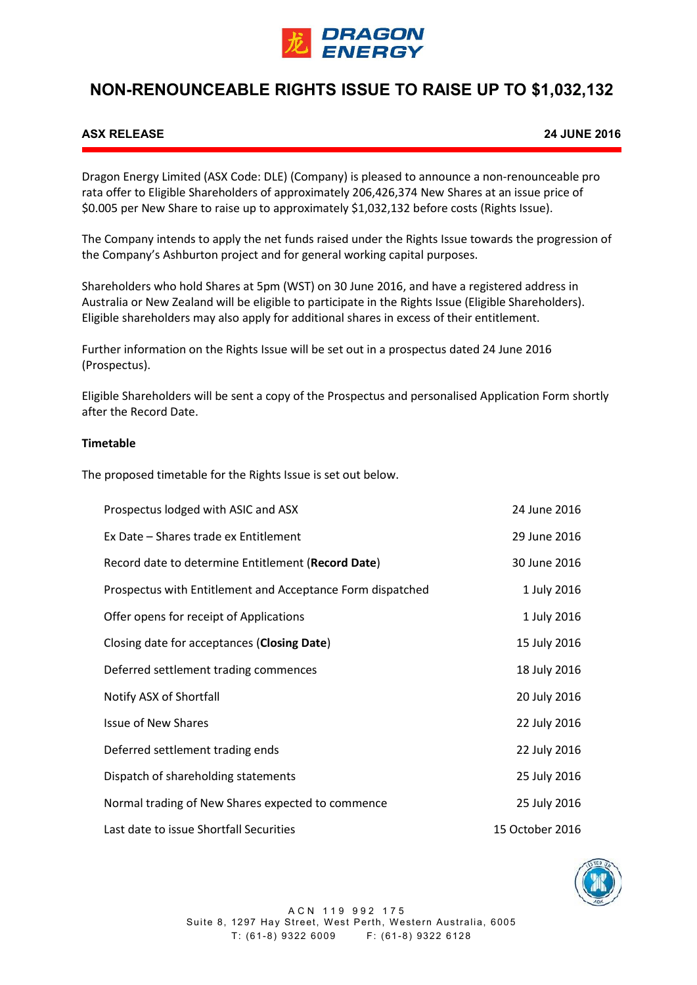

# **NON-RENOUNCEABLE RIGHTS ISSUE TO RAISE UP TO \$1,032,132**

## **ASX RELEASE 24 JUNE 2016**

Dragon Energy Limited (ASX Code: DLE) (Company) is pleased to announce a non-renounceable pro rata offer to Eligible Shareholders of approximately 206,426,374 New Shares at an issue price of \$0.005 per New Share to raise up to approximately \$1,032,132 before costs (Rights Issue).

The Company intends to apply the net funds raised under the Rights Issue towards the progression of the Company's Ashburton project and for general working capital purposes.

Shareholders who hold Shares at 5pm (WST) on 30 June 2016, and have a registered address in Australia or New Zealand will be eligible to participate in the Rights Issue (Eligible Shareholders). Eligible shareholders may also apply for additional shares in excess of their entitlement.

Further information on the Rights Issue will be set out in a prospectus dated 24 June 2016 (Prospectus).

Eligible Shareholders will be sent a copy of the Prospectus and personalised Application Form shortly after the Record Date.

#### **Timetable**

The proposed timetable for the Rights Issue is set out below.

| Prospectus lodged with ASIC and ASX                        | 24 June 2016    |
|------------------------------------------------------------|-----------------|
| Ex Date – Shares trade ex Entitlement                      | 29 June 2016    |
| Record date to determine Entitlement (Record Date)         | 30 June 2016    |
| Prospectus with Entitlement and Acceptance Form dispatched | 1 July 2016     |
| Offer opens for receipt of Applications                    | 1 July 2016     |
| Closing date for acceptances (Closing Date)                | 15 July 2016    |
| Deferred settlement trading commences                      | 18 July 2016    |
| Notify ASX of Shortfall                                    | 20 July 2016    |
| <b>Issue of New Shares</b>                                 | 22 July 2016    |
| Deferred settlement trading ends                           | 22 July 2016    |
| Dispatch of shareholding statements                        | 25 July 2016    |
| Normal trading of New Shares expected to commence          | 25 July 2016    |
| Last date to issue Shortfall Securities                    | 15 October 2016 |